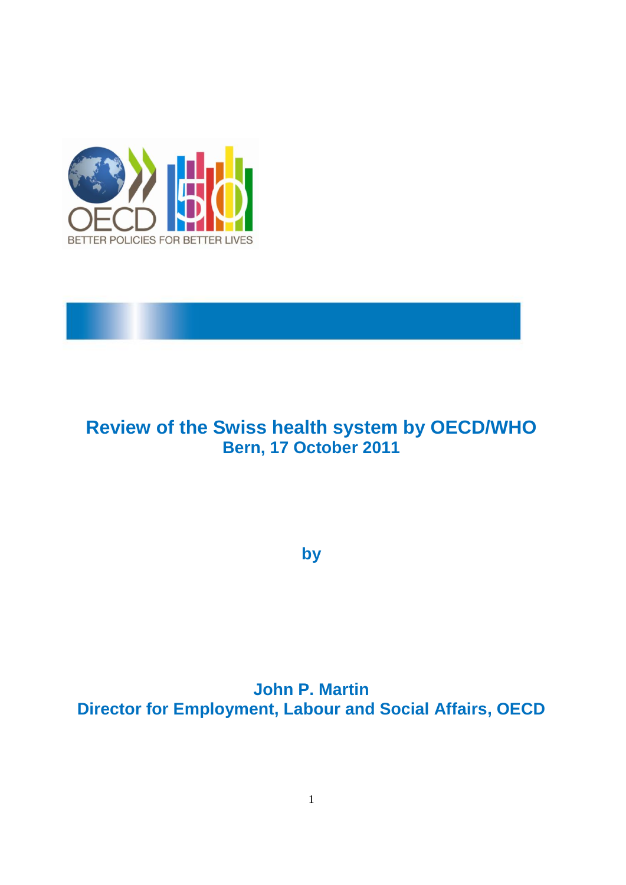

## **Review of the Swiss health system by OECD/WHO Bern, 17 October 2011**

**by**

**John P. Martin Director for Employment, Labour and Social Affairs, OECD**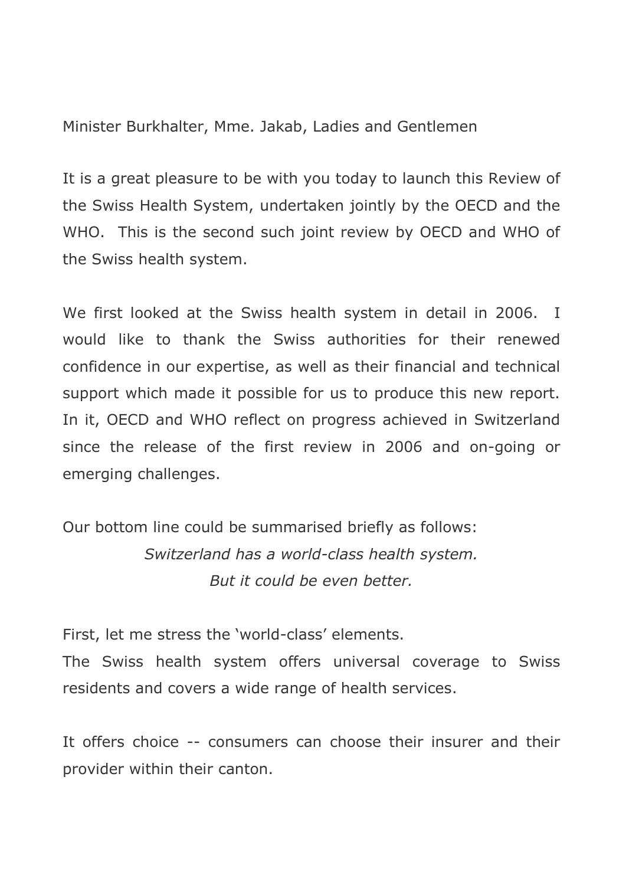Minister Burkhalter, Mme. Jakab, Ladies and Gentlemen

It is a great pleasure to be with you today to launch this Review of the Swiss Health System, undertaken jointly by the OECD and the WHO. This is the second such joint review by OECD and WHO of the Swiss health system.

We first looked at the Swiss health system in detail in 2006. I would like to thank the Swiss authorities for their renewed confidence in our expertise, as well as their financial and technical support which made it possible for us to produce this new report. In it, OECD and WHO reflect on progress achieved in Switzerland since the release of the first review in 2006 and on-going or emerging challenges.

Our bottom line could be summarised briefly as follows: *Switzerland has a world-class health system. But it could be even better.*

First, let me stress the 'world-class' elements.

The Swiss health system offers universal coverage to Swiss residents and covers a wide range of health services.

It offers choice -- consumers can choose their insurer and their provider within their canton.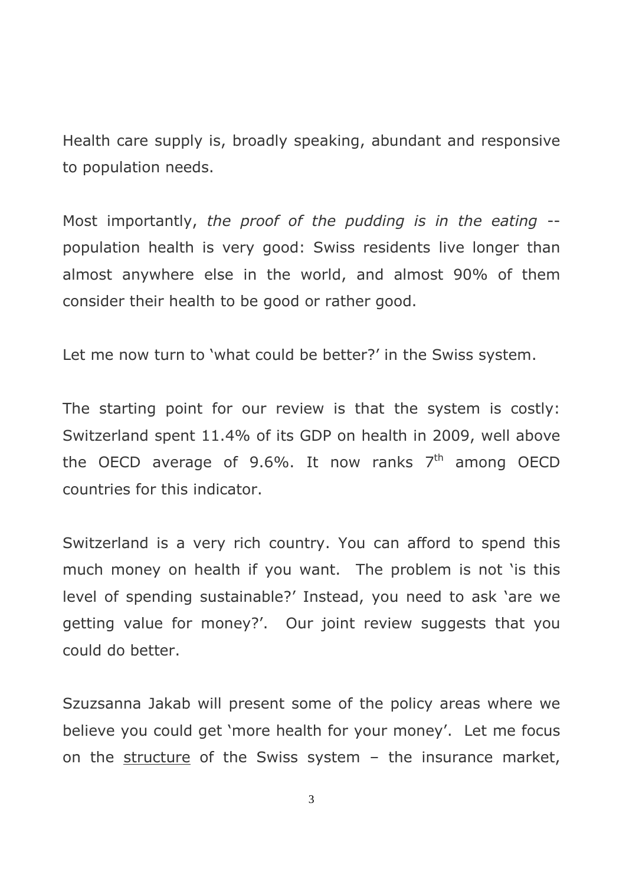Health care supply is, broadly speaking, abundant and responsive to population needs.

Most importantly, *the proof of the pudding is in the eating* - population health is very good: Swiss residents live longer than almost anywhere else in the world, and almost 90% of them consider their health to be good or rather good.

Let me now turn to 'what could be better?' in the Swiss system.

The starting point for our review is that the system is costly: Switzerland spent 11.4% of its GDP on health in 2009, well above the OECD average of 9.6%. It now ranks  $7<sup>th</sup>$  among OECD countries for this indicator.

Switzerland is a very rich country. You can afford to spend this much money on health if you want. The problem is not 'is this level of spending sustainable?" Instead, you need to ask "are we getting value for money?'. Our joint review suggests that you could do better.

Szuzsanna Jakab will present some of the policy areas where we believe you could get 'more health for your money'. Let me focus on the structure of the Swiss system  $-$  the insurance market,

3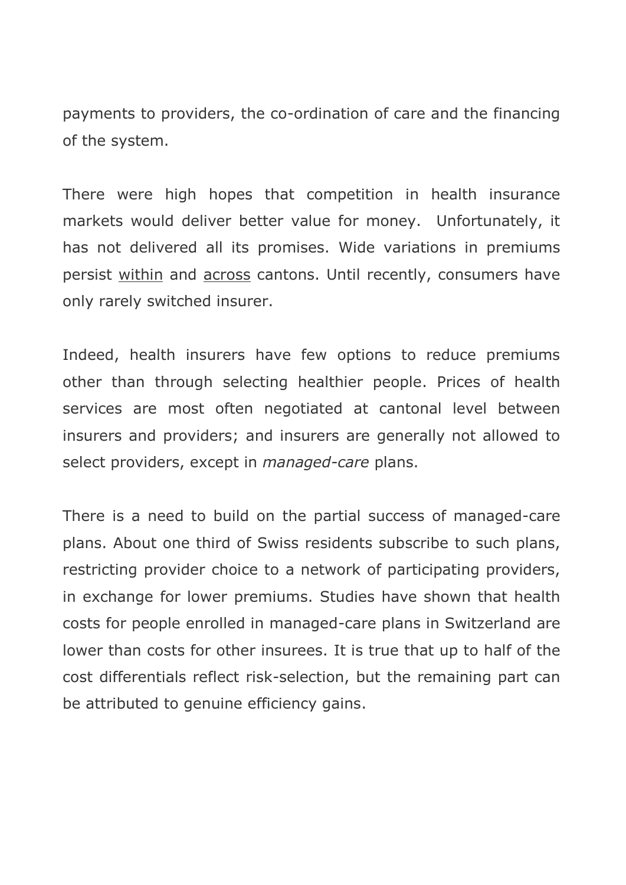payments to providers, the co-ordination of care and the financing of the system.

There were high hopes that competition in health insurance markets would deliver better value for money. Unfortunately, it has not delivered all its promises. Wide variations in premiums persist within and across cantons. Until recently, consumers have only rarely switched insurer.

Indeed, health insurers have few options to reduce premiums other than through selecting healthier people. Prices of health services are most often negotiated at cantonal level between insurers and providers; and insurers are generally not allowed to select providers, except in *managed-care* plans.

There is a need to build on the partial success of managed-care plans. About one third of Swiss residents subscribe to such plans, restricting provider choice to a network of participating providers, in exchange for lower premiums. Studies have shown that health costs for people enrolled in managed-care plans in Switzerland are lower than costs for other insurees. It is true that up to half of the cost differentials reflect risk-selection, but the remaining part can be attributed to genuine efficiency gains.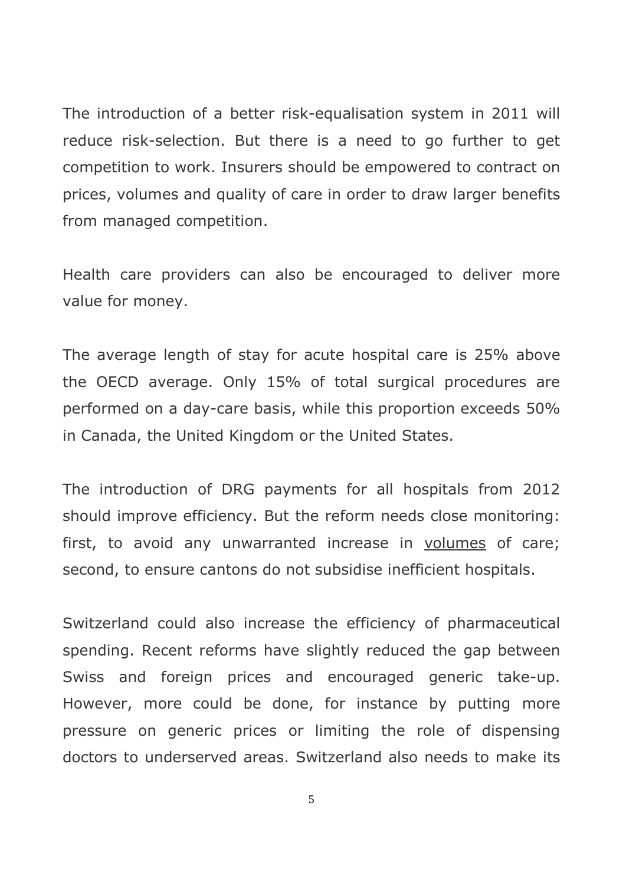The introduction of a better risk-equalisation system in 2011 will reduce risk-selection. But there is a need to go further to get competition to work. Insurers should be empowered to contract on prices, volumes and quality of care in order to draw larger benefits from managed competition.

Health care providers can also be encouraged to deliver more value for money.

The average length of stay for acute hospital care is 25% above the OECD average. Only 15% of total surgical procedures are performed on a day-care basis, while this proportion exceeds 50% in Canada, the United Kingdom or the United States.

The introduction of DRG payments for all hospitals from 2012 should improve efficiency. But the reform needs close monitoring: first, to avoid any unwarranted increase in volumes of care; second, to ensure cantons do not subsidise inefficient hospitals.

Switzerland could also increase the efficiency of pharmaceutical spending. Recent reforms have slightly reduced the gap between Swiss and foreign prices and encouraged generic take-up. However, more could be done, for instance by putting more pressure on generic prices or limiting the role of dispensing doctors to underserved areas. Switzerland also needs to make its

5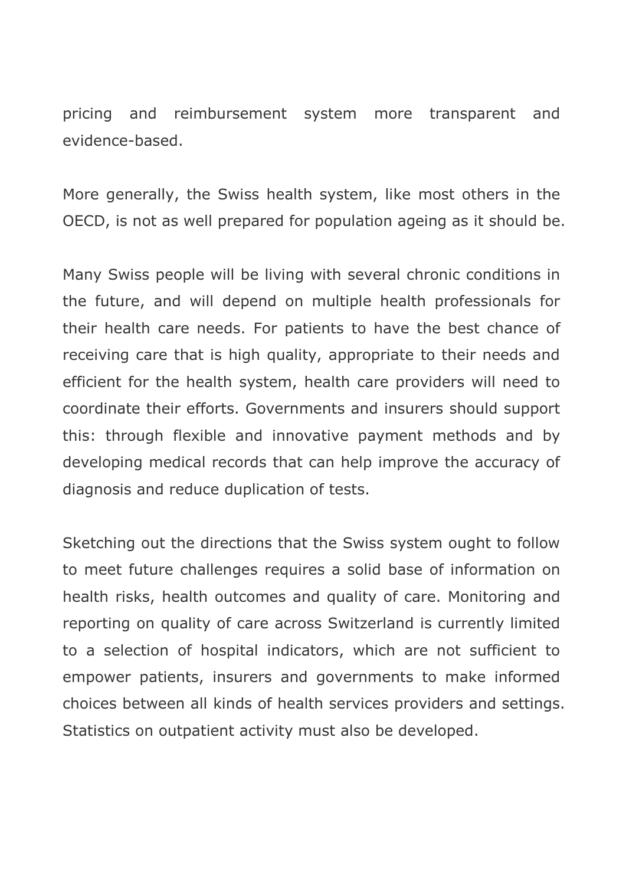pricing and reimbursement system more transparent and evidence-based.

More generally, the Swiss health system, like most others in the OECD, is not as well prepared for population ageing as it should be.

Many Swiss people will be living with several chronic conditions in the future, and will depend on multiple health professionals for their health care needs. For patients to have the best chance of receiving care that is high quality, appropriate to their needs and efficient for the health system, health care providers will need to coordinate their efforts. Governments and insurers should support this: through flexible and innovative payment methods and by developing medical records that can help improve the accuracy of diagnosis and reduce duplication of tests.

Sketching out the directions that the Swiss system ought to follow to meet future challenges requires a solid base of information on health risks, health outcomes and quality of care. Monitoring and reporting on quality of care across Switzerland is currently limited to a selection of hospital indicators, which are not sufficient to empower patients, insurers and governments to make informed choices between all kinds of health services providers and settings. Statistics on outpatient activity must also be developed.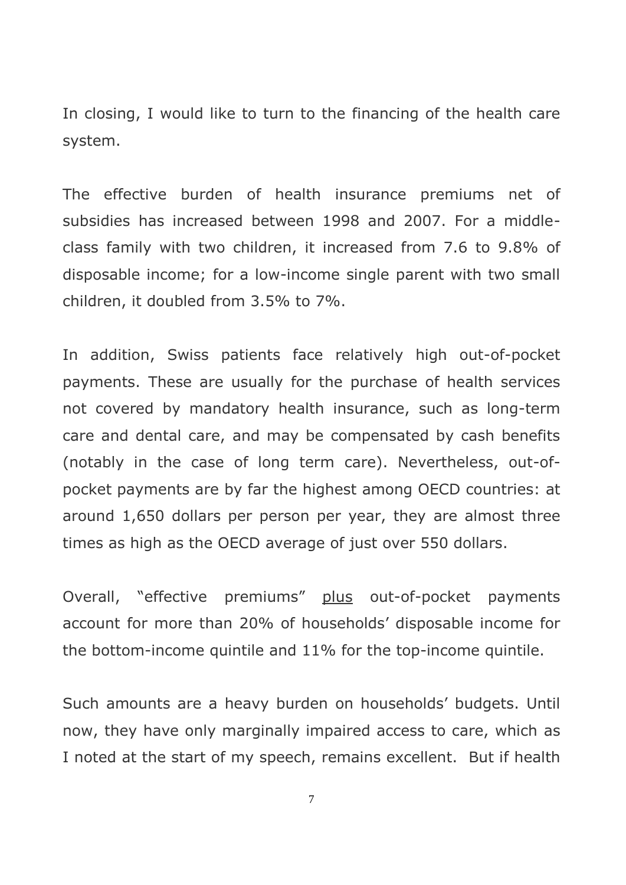In closing, I would like to turn to the financing of the health care system.

The effective burden of health insurance premiums net of subsidies has increased between 1998 and 2007. For a middleclass family with two children, it increased from 7.6 to 9.8% of disposable income; for a low-income single parent with two small children, it doubled from 3.5% to 7%.

In addition, Swiss patients face relatively high out-of-pocket payments. These are usually for the purchase of health services not covered by mandatory health insurance, such as long-term care and dental care, and may be compensated by cash benefits (notably in the case of long term care). Nevertheless, out-ofpocket payments are by far the highest among OECD countries: at around 1,650 dollars per person per year, they are almost three times as high as the OECD average of just over 550 dollars.

Overall, "effective premiums" plus out-of-pocket payments account for more than 20% of households" disposable income for the bottom-income quintile and 11% for the top-income quintile.

Such amounts are a heavy burden on households' budgets. Until now, they have only marginally impaired access to care, which as I noted at the start of my speech, remains excellent. But if health

7